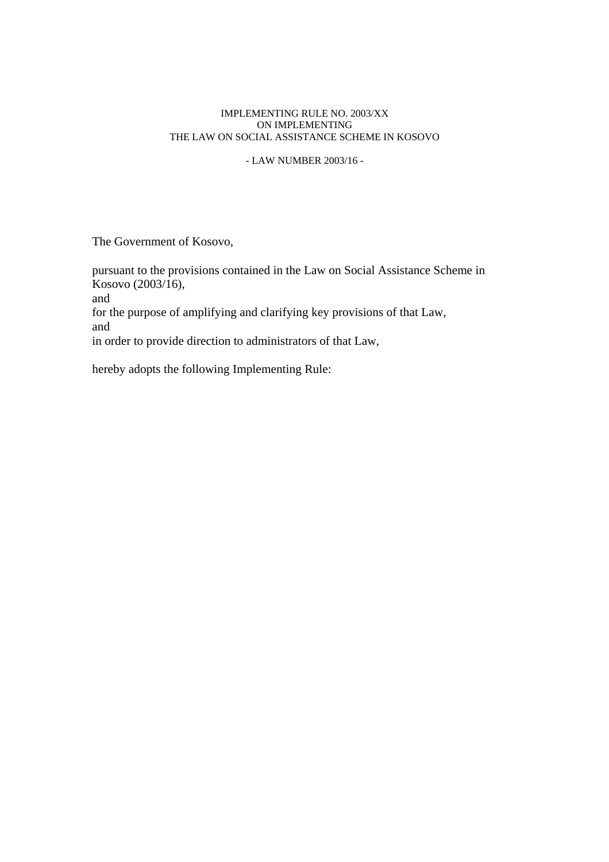# IMPLEMENTING RULE NO. 2003/XX ON IMPLEMENTING THE LAW ON SOCIAL ASSISTANCE SCHEME IN KOSOVO

- LAW NUMBER 2003/16 -

The Government of Kosovo,

pursuant to the provisions contained in the Law on Social Assistance Scheme in Kosovo (2003/16), and for the purpose of amplifying and clarifying key provisions of that Law, and in order to provide direction to administrators of that Law,

hereby adopts the following Implementing Rule: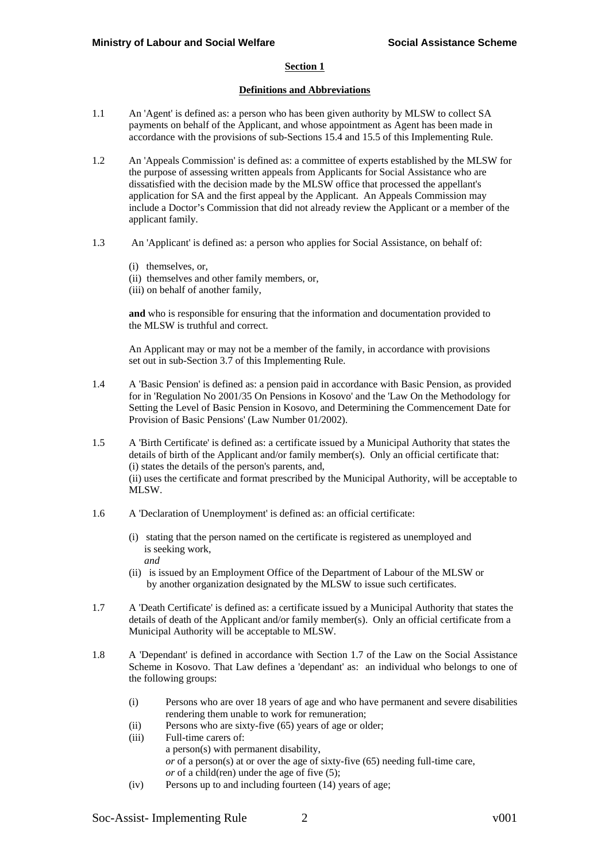#### **Section 1**

### **Definitions and Abbreviations**

- 1.1 An 'Agent' is defined as: a person who has been given authority by MLSW to collect SA payments on behalf of the Applicant, and whose appointment as Agent has been made in accordance with the provisions of sub-Sections 15.4 and 15.5 of this Implementing Rule.
- 1.2 An 'Appeals Commission' is defined as: a committee of experts established by the MLSW for the purpose of assessing written appeals from Applicants for Social Assistance who are dissatisfied with the decision made by the MLSW office that processed the appellant's application for SA and the first appeal by the Applicant. An Appeals Commission may include a Doctor's Commission that did not already review the Applicant or a member of the applicant family.
- 1.3 An 'Applicant' is defined as: a person who applies for Social Assistance, on behalf of:
	- (i) themselves, or,
	- (ii) themselves and other family members, or,
	- (iii) on behalf of another family,

**and** who is responsible for ensuring that the information and documentation provided to the MLSW is truthful and correct.

 An Applicant may or may not be a member of the family, in accordance with provisions set out in sub-Section 3.7 of this Implementing Rule.

- 1.4 A 'Basic Pension' is defined as: a pension paid in accordance with Basic Pension, as provided for in 'Regulation No 2001/35 On Pensions in Kosovo' and the 'Law On the Methodology for Setting the Level of Basic Pension in Kosovo, and Determining the Commencement Date for Provision of Basic Pensions' (Law Number 01/2002).
- 1.5 A 'Birth Certificate' is defined as: a certificate issued by a Municipal Authority that states the details of birth of the Applicant and/or family member(s). Only an official certificate that: (i) states the details of the person's parents, and, (ii) uses the certificate and format prescribed by the Municipal Authority, will be acceptable to MLSW.
- 1.6 A 'Declaration of Unemployment' is defined as: an official certificate:
	- (i) stating that the person named on the certificate is registered as unemployed and is seeking work, *and*
	- (ii) is issued by an Employment Office of the Department of Labour of the MLSW or by another organization designated by the MLSW to issue such certificates.
- 1.7 A 'Death Certificate' is defined as: a certificate issued by a Municipal Authority that states the details of death of the Applicant and/or family member(s). Only an official certificate from a Municipal Authority will be acceptable to MLSW.
- 1.8 A 'Dependant' is defined in accordance with Section 1.7 of the Law on the Social Assistance Scheme in Kosovo. That Law defines a 'dependant' as: an individual who belongs to one of the following groups:
	- (i) Persons who are over 18 years of age and who have permanent and severe disabilities rendering them unable to work for remuneration;
	- (ii) Persons who are sixty-five (65) years of age or older;
	- (iii) Full-time carers of: a person(s) with permanent disability, *or* of a person(s) at or over the age of sixty-five (65) needing full-time care, *or* of a child(ren) under the age of five (5); (iv) Persons up to and including fourteen (14) years of age;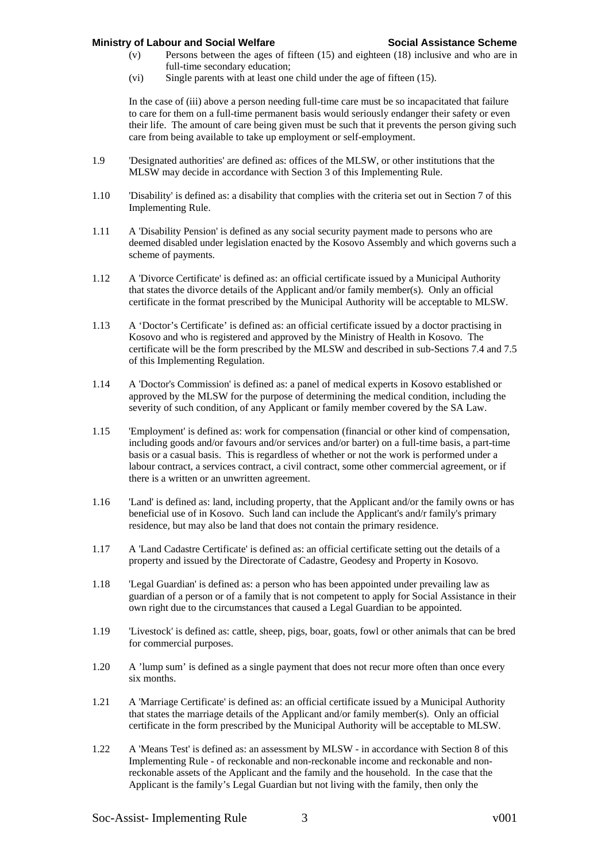- (v) Persons between the ages of fifteen (15) and eighteen (18) inclusive and who are in full-time secondary education;
- (vi) Single parents with at least one child under the age of fifteen (15).

In the case of (iii) above a person needing full-time care must be so incapacitated that failure to care for them on a full-time permanent basis would seriously endanger their safety or even their life. The amount of care being given must be such that it prevents the person giving such care from being available to take up employment or self-employment.

- 1.9 'Designated authorities' are defined as: offices of the MLSW, or other institutions that the MLSW may decide in accordance with Section 3 of this Implementing Rule.
- 1.10 'Disability' is defined as: a disability that complies with the criteria set out in Section 7 of this Implementing Rule.
- 1.11 A 'Disability Pension' is defined as any social security payment made to persons who are deemed disabled under legislation enacted by the Kosovo Assembly and which governs such a scheme of payments.
- 1.12 A 'Divorce Certificate' is defined as: an official certificate issued by a Municipal Authority that states the divorce details of the Applicant and/or family member(s). Only an official certificate in the format prescribed by the Municipal Authority will be acceptable to MLSW.
- 1.13 A 'Doctor's Certificate' is defined as: an official certificate issued by a doctor practising in Kosovo and who is registered and approved by the Ministry of Health in Kosovo. The certificate will be the form prescribed by the MLSW and described in sub-Sections 7.4 and 7.5 of this Implementing Regulation.
- 1.14 A 'Doctor's Commission' is defined as: a panel of medical experts in Kosovo established or approved by the MLSW for the purpose of determining the medical condition, including the severity of such condition, of any Applicant or family member covered by the SA Law.
- 1.15 'Employment' is defined as: work for compensation (financial or other kind of compensation, including goods and/or favours and/or services and/or barter) on a full-time basis, a part-time basis or a casual basis. This is regardless of whether or not the work is performed under a labour contract, a services contract, a civil contract, some other commercial agreement, or if there is a written or an unwritten agreement.
- 1.16 'Land' is defined as: land, including property, that the Applicant and/or the family owns or has beneficial use of in Kosovo. Such land can include the Applicant's and/r family's primary residence, but may also be land that does not contain the primary residence.
- 1.17 A 'Land Cadastre Certificate' is defined as: an official certificate setting out the details of a property and issued by the Directorate of Cadastre, Geodesy and Property in Kosovo.
- 1.18 'Legal Guardian' is defined as: a person who has been appointed under prevailing law as guardian of a person or of a family that is not competent to apply for Social Assistance in their own right due to the circumstances that caused a Legal Guardian to be appointed.
- 1.19 'Livestock' is defined as: cattle, sheep, pigs, boar, goats, fowl or other animals that can be bred for commercial purposes.
- 1.20 A 'lump sum' is defined as a single payment that does not recur more often than once every six months.
- 1.21 A 'Marriage Certificate' is defined as: an official certificate issued by a Municipal Authority that states the marriage details of the Applicant and/or family member(s). Only an official certificate in the form prescribed by the Municipal Authority will be acceptable to MLSW.
- 1.22 A 'Means Test' is defined as: an assessment by MLSW in accordance with Section 8 of this Implementing Rule - of reckonable and non-reckonable income and reckonable and nonreckonable assets of the Applicant and the family and the household. In the case that the Applicant is the family's Legal Guardian but not living with the family, then only the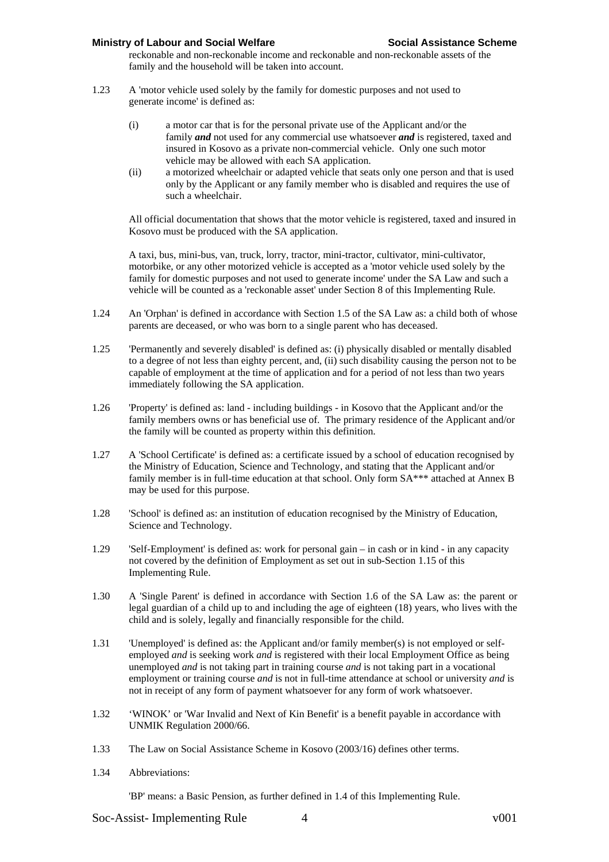reckonable and non-reckonable income and reckonable and non-reckonable assets of the family and the household will be taken into account.

- 1.23 A 'motor vehicle used solely by the family for domestic purposes and not used to generate income' is defined as:
	- (i) a motor car that is for the personal private use of the Applicant and/or the family *and* not used for any commercial use whatsoever *and* is registered, taxed and insured in Kosovo as a private non-commercial vehicle. Only one such motor vehicle may be allowed with each SA application.
	- (ii) a motorized wheelchair or adapted vehicle that seats only one person and that is used only by the Applicant or any family member who is disabled and requires the use of such a wheelchair.

All official documentation that shows that the motor vehicle is registered, taxed and insured in Kosovo must be produced with the SA application.

A taxi, bus, mini-bus, van, truck, lorry, tractor, mini-tractor, cultivator, mini-cultivator, motorbike, or any other motorized vehicle is accepted as a 'motor vehicle used solely by the family for domestic purposes and not used to generate income' under the SA Law and such a vehicle will be counted as a 'reckonable asset' under Section 8 of this Implementing Rule.

- 1.24 An 'Orphan' is defined in accordance with Section 1.5 of the SA Law as: a child both of whose parents are deceased, or who was born to a single parent who has deceased.
- 1.25 'Permanently and severely disabled' is defined as: (i) physically disabled or mentally disabled to a degree of not less than eighty percent, and, (ii) such disability causing the person not to be capable of employment at the time of application and for a period of not less than two years immediately following the SA application.
- 1.26 'Property' is defined as: land including buildings in Kosovo that the Applicant and/or the family members owns or has beneficial use of. The primary residence of the Applicant and/or the family will be counted as property within this definition.
- 1.27 A 'School Certificate' is defined as: a certificate issued by a school of education recognised by the Ministry of Education, Science and Technology, and stating that the Applicant and/or family member is in full-time education at that school. Only form SA\*\*\* attached at Annex B may be used for this purpose.
- 1.28 'School' is defined as: an institution of education recognised by the Ministry of Education, Science and Technology.
- 1.29 'Self-Employment' is defined as: work for personal gain in cash or in kind in any capacity not covered by the definition of Employment as set out in sub-Section 1.15 of this Implementing Rule.
- 1.30 A 'Single Parent' is defined in accordance with Section 1.6 of the SA Law as: the parent or legal guardian of a child up to and including the age of eighteen (18) years, who lives with the child and is solely, legally and financially responsible for the child.
- 1.31 'Unemployed' is defined as: the Applicant and/or family member(s) is not employed or selfemployed *and* is seeking work *and* is registered with their local Employment Office as being unemployed *and* is not taking part in training course *and* is not taking part in a vocational employment or training course *and* is not in full-time attendance at school or university *and* is not in receipt of any form of payment whatsoever for any form of work whatsoever.
- 1.32 'WINOK' or 'War Invalid and Next of Kin Benefit' is a benefit payable in accordance with UNMIK Regulation 2000/66.
- 1.33 The Law on Social Assistance Scheme in Kosovo (2003/16) defines other terms.
- 1.34 Abbreviations:

'BP' means: a Basic Pension, as further defined in 1.4 of this Implementing Rule.

Soc-Assist- Implementing Rule 4 v001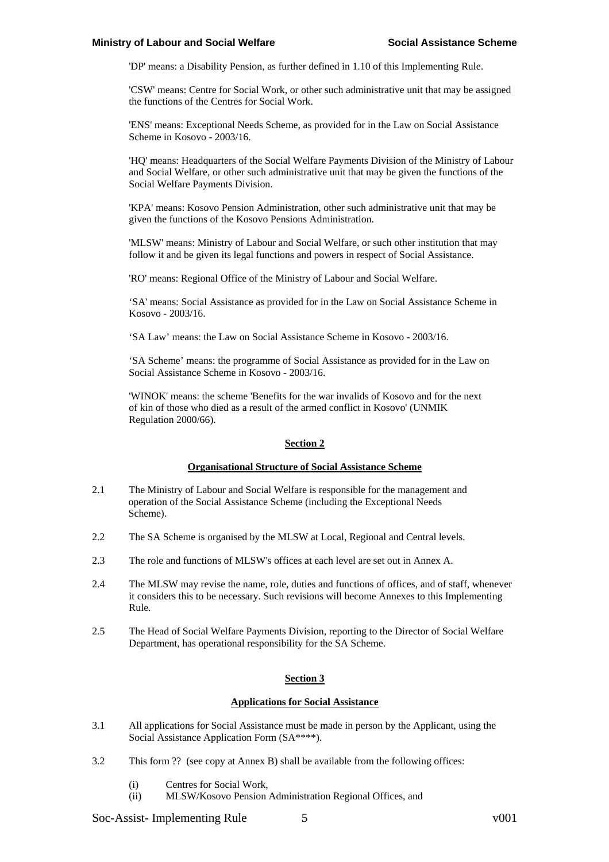'DP' means: a Disability Pension, as further defined in 1.10 of this Implementing Rule.

'CSW' means: Centre for Social Work, or other such administrative unit that may be assigned the functions of the Centres for Social Work.

'ENS' means: Exceptional Needs Scheme, as provided for in the Law on Social Assistance Scheme in Kosovo - 2003/16.

'HQ' means: Headquarters of the Social Welfare Payments Division of the Ministry of Labour and Social Welfare, or other such administrative unit that may be given the functions of the Social Welfare Payments Division.

'KPA' means: Kosovo Pension Administration, other such administrative unit that may be given the functions of the Kosovo Pensions Administration.

'MLSW' means: Ministry of Labour and Social Welfare, or such other institution that may follow it and be given its legal functions and powers in respect of Social Assistance.

'RO' means: Regional Office of the Ministry of Labour and Social Welfare.

'SA' means: Social Assistance as provided for in the Law on Social Assistance Scheme in Kosovo - 2003/16.

'SA Law' means: the Law on Social Assistance Scheme in Kosovo - 2003/16.

'SA Scheme' means: the programme of Social Assistance as provided for in the Law on Social Assistance Scheme in Kosovo - 2003/16.

'WINOK' means: the scheme 'Benefits for the war invalids of Kosovo and for the next of kin of those who died as a result of the armed conflict in Kosovo' (UNMIK Regulation 2000/66).

#### **Section 2**

#### **Organisational Structure of Social Assistance Scheme**

- 2.1 The Ministry of Labour and Social Welfare is responsible for the management and operation of the Social Assistance Scheme (including the Exceptional Needs Scheme).
- 2.2 The SA Scheme is organised by the MLSW at Local, Regional and Central levels.
- 2.3 The role and functions of MLSW's offices at each level are set out in Annex A.
- 2.4 The MLSW may revise the name, role, duties and functions of offices, and of staff, whenever it considers this to be necessary. Such revisions will become Annexes to this Implementing Rule.
- 2.5 The Head of Social Welfare Payments Division, reporting to the Director of Social Welfare Department, has operational responsibility for the SA Scheme.

# **Section 3**

### **Applications for Social Assistance**

- 3.1 All applications for Social Assistance must be made in person by the Applicant, using the Social Assistance Application Form (SA\*\*\*\*).
- 3.2 This form ?? (see copy at Annex B) shall be available from the following offices:
	- (i) Centres for Social Work,
	- (ii) MLSW/Kosovo Pension Administration Regional Offices, and

Soc-Assist- Implementing Rule 5 v001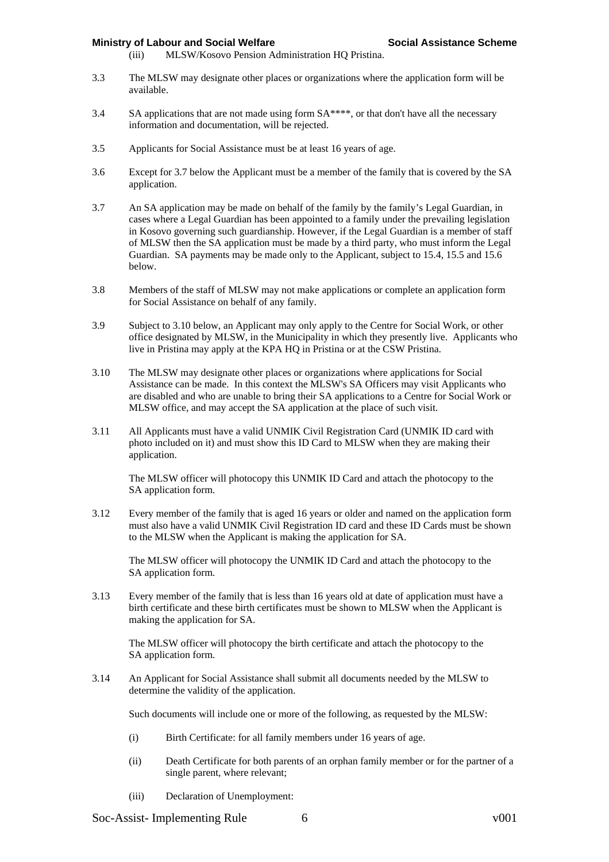- (iii) MLSW/Kosovo Pension Administration HQ Pristina.
- 3.3 The MLSW may designate other places or organizations where the application form will be available.
- 3.4 SA applications that are not made using form SA\*\*\*\*, or that don't have all the necessary information and documentation, will be rejected.
- 3.5 Applicants for Social Assistance must be at least 16 years of age.
- 3.6 Except for 3.7 below the Applicant must be a member of the family that is covered by the SA application.
- 3.7 An SA application may be made on behalf of the family by the family's Legal Guardian, in cases where a Legal Guardian has been appointed to a family under the prevailing legislation in Kosovo governing such guardianship. However, if the Legal Guardian is a member of staff of MLSW then the SA application must be made by a third party, who must inform the Legal Guardian. SA payments may be made only to the Applicant, subject to 15.4, 15.5 and 15.6 below.
- 3.8 Members of the staff of MLSW may not make applications or complete an application form for Social Assistance on behalf of any family.
- 3.9 Subject to 3.10 below, an Applicant may only apply to the Centre for Social Work, or other office designated by MLSW, in the Municipality in which they presently live. Applicants who live in Pristina may apply at the KPA HQ in Pristina or at the CSW Pristina.
- 3.10 The MLSW may designate other places or organizations where applications for Social Assistance can be made. In this context the MLSW's SA Officers may visit Applicants who are disabled and who are unable to bring their SA applications to a Centre for Social Work or MLSW office, and may accept the SA application at the place of such visit.
- 3.11 All Applicants must have a valid UNMIK Civil Registration Card (UNMIK ID card with photo included on it) and must show this ID Card to MLSW when they are making their application.

The MLSW officer will photocopy this UNMIK ID Card and attach the photocopy to the SA application form.

3.12 Every member of the family that is aged 16 years or older and named on the application form must also have a valid UNMIK Civil Registration ID card and these ID Cards must be shown to the MLSW when the Applicant is making the application for SA.

The MLSW officer will photocopy the UNMIK ID Card and attach the photocopy to the SA application form.

3.13 Every member of the family that is less than 16 years old at date of application must have a birth certificate and these birth certificates must be shown to MLSW when the Applicant is making the application for SA.

The MLSW officer will photocopy the birth certificate and attach the photocopy to the SA application form.

3.14 An Applicant for Social Assistance shall submit all documents needed by the MLSW to determine the validity of the application.

Such documents will include one or more of the following, as requested by the MLSW:

- (i) Birth Certificate: for all family members under 16 years of age.
- (ii) Death Certificate for both parents of an orphan family member or for the partner of a single parent, where relevant;
- (iii) Declaration of Unemployment:

Soc-Assist- Implementing Rule 6 6 v001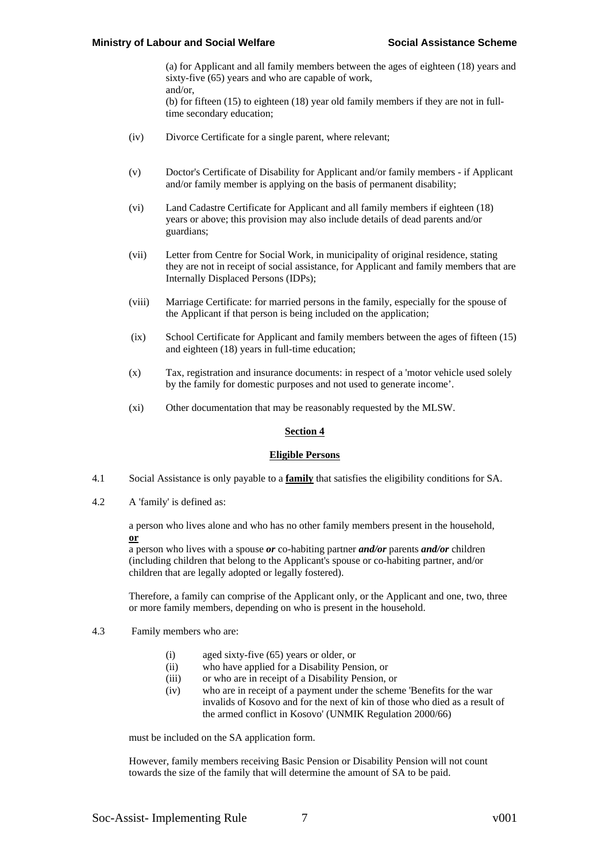(a) for Applicant and all family members between the ages of eighteen (18) years and sixty-five (65) years and who are capable of work. and/or, (b) for fifteen (15) to eighteen (18) year old family members if they are not in full-

(iv) Divorce Certificate for a single parent, where relevant;

time secondary education;

- (v) Doctor's Certificate of Disability for Applicant and/or family members if Applicant and/or family member is applying on the basis of permanent disability;
- (vi) Land Cadastre Certificate for Applicant and all family members if eighteen (18) years or above; this provision may also include details of dead parents and/or guardians;
- (vii) Letter from Centre for Social Work, in municipality of original residence, stating they are not in receipt of social assistance, for Applicant and family members that are Internally Displaced Persons (IDPs);
- (viii) Marriage Certificate: for married persons in the family, especially for the spouse of the Applicant if that person is being included on the application;
- (ix) School Certificate for Applicant and family members between the ages of fifteen (15) and eighteen (18) years in full-time education;
- (x) Tax, registration and insurance documents: in respect of a 'motor vehicle used solely by the family for domestic purposes and not used to generate income'.
- (xi) Other documentation that may be reasonably requested by the MLSW.

# **Section 4**

## **Eligible Persons**

- 4.1 Social Assistance is only payable to a **family** that satisfies the eligibility conditions for SA.
- 4.2 A 'family' is defined as:

a person who lives alone and who has no other family members present in the household, **or**

a person who lives with a spouse *or* co-habiting partner *and/or* parents *and/or* children (including children that belong to the Applicant's spouse or co-habiting partner, and/or children that are legally adopted or legally fostered).

Therefore, a family can comprise of the Applicant only, or the Applicant and one, two, three or more family members, depending on who is present in the household.

- 4.3 Family members who are:
	- (i) aged sixty-five (65) years or older, or
	- (ii) who have applied for a Disability Pension, or
	- (iii) or who are in receipt of a Disability Pension, or
	- (iv) who are in receipt of a payment under the scheme 'Benefits for the war invalids of Kosovo and for the next of kin of those who died as a result of the armed conflict in Kosovo' (UNMIK Regulation 2000/66)

must be included on the SA application form.

However, family members receiving Basic Pension or Disability Pension will not count towards the size of the family that will determine the amount of SA to be paid.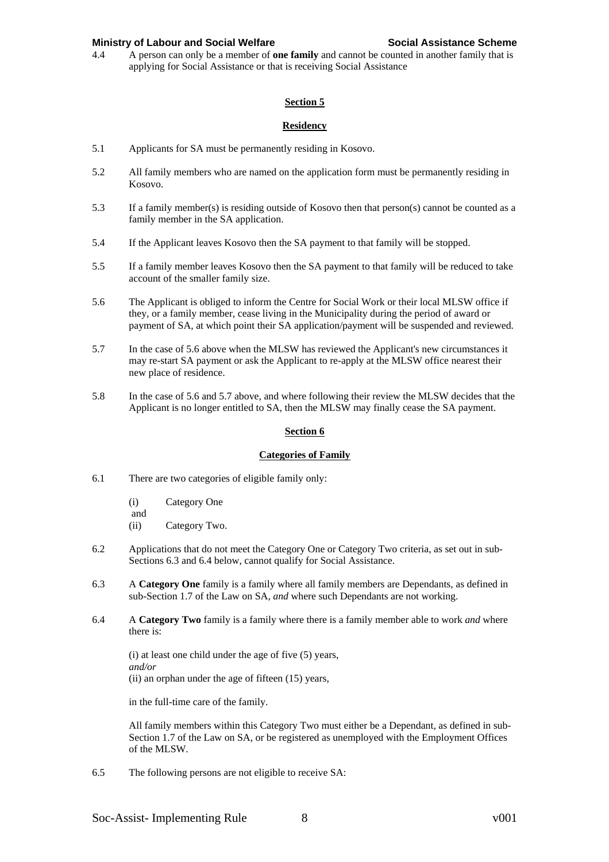4.4 A person can only be a member of **one family** and cannot be counted in another family that is applying for Social Assistance or that is receiving Social Assistance

# **Section 5**

# **Residency**

- 5.1 Applicants for SA must be permanently residing in Kosovo.
- 5.2 All family members who are named on the application form must be permanently residing in Kosovo.
- 5.3 If a family member(s) is residing outside of Kosovo then that person(s) cannot be counted as a family member in the SA application.
- 5.4 If the Applicant leaves Kosovo then the SA payment to that family will be stopped.
- 5.5 If a family member leaves Kosovo then the SA payment to that family will be reduced to take account of the smaller family size.
- 5.6 The Applicant is obliged to inform the Centre for Social Work or their local MLSW office if they, or a family member, cease living in the Municipality during the period of award or payment of SA, at which point their SA application/payment will be suspended and reviewed.
- 5.7 In the case of 5.6 above when the MLSW has reviewed the Applicant's new circumstances it may re-start SA payment or ask the Applicant to re-apply at the MLSW office nearest their new place of residence.
- 5.8 In the case of 5.6 and 5.7 above, and where following their review the MLSW decides that the Applicant is no longer entitled to SA, then the MLSW may finally cease the SA payment.

## **Section 6**

## **Categories of Family**

- 6.1 There are two categories of eligible family only:
	- (i) Category One
	- and (ii) Category Two.
- 6.2 Applications that do not meet the Category One or Category Two criteria, as set out in sub-Sections 6.3 and 6.4 below, cannot qualify for Social Assistance.
- 6.3 A **Category One** family is a family where all family members are Dependants, as defined in sub-Section 1.7 of the Law on SA, *and* where such Dependants are not working.
- 6.4 A **Category Two** family is a family where there is a family member able to work *and* where there is:

(i) at least one child under the age of five (5) years, *and/or* (ii) an orphan under the age of fifteen (15) years,

in the full-time care of the family.

All family members within this Category Two must either be a Dependant, as defined in sub-Section 1.7 of the Law on SA, or be registered as unemployed with the Employment Offices of the MLSW.

6.5 The following persons are not eligible to receive SA: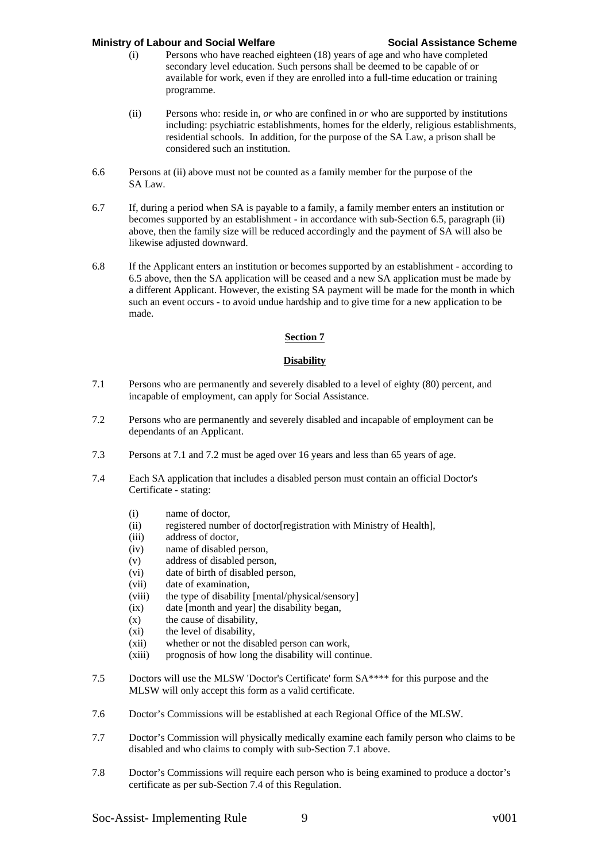- (i) Persons who have reached eighteen (18) years of age and who have completed secondary level education. Such persons shall be deemed to be capable of or available for work, even if they are enrolled into a full-time education or training programme.
- (ii) Persons who: reside in, *or* who are confined in *or* who are supported by institutions including: psychiatric establishments, homes for the elderly, religious establishments, residential schools. In addition, for the purpose of the SA Law, a prison shall be considered such an institution.
- 6.6 Persons at (ii) above must not be counted as a family member for the purpose of the SA Law.
- 6.7 If, during a period when SA is payable to a family, a family member enters an institution or becomes supported by an establishment - in accordance with sub-Section 6.5, paragraph (ii) above, then the family size will be reduced accordingly and the payment of SA will also be likewise adjusted downward.
- 6.8 If the Applicant enters an institution or becomes supported by an establishment according to 6.5 above, then the SA application will be ceased and a new SA application must be made by a different Applicant. However, the existing SA payment will be made for the month in which such an event occurs - to avoid undue hardship and to give time for a new application to be made.

# **Section 7**

# **Disability**

- 7.1 Persons who are permanently and severely disabled to a level of eighty (80) percent, and incapable of employment, can apply for Social Assistance.
- 7.2 Persons who are permanently and severely disabled and incapable of employment can be dependants of an Applicant.
- 7.3 Persons at 7.1 and 7.2 must be aged over 16 years and less than 65 years of age.
- 7.4 Each SA application that includes a disabled person must contain an official Doctor's Certificate - stating:
	- (i) name of doctor,
	- (ii) registered number of doctor[registration with Ministry of Health],
	- (iii) address of doctor,
	- (iv) name of disabled person,
	- (v) address of disabled person,
	- (vi) date of birth of disabled person,
	- (vii) date of examination,
	- (viii) the type of disability [mental/physical/sensory]
	- (ix) date [month and year] the disability began,
	- (x) the cause of disability,
	- (xi) the level of disability,
	- (xii) whether or not the disabled person can work,
	- (xiii) prognosis of how long the disability will continue.
- 7.5 Doctors will use the MLSW 'Doctor's Certificate' form SA\*\*\*\* for this purpose and the MLSW will only accept this form as a valid certificate.
- 7.6 Doctor's Commissions will be established at each Regional Office of the MLSW.
- 7.7 Doctor's Commission will physically medically examine each family person who claims to be disabled and who claims to comply with sub-Section 7.1 above.
- 7.8 Doctor's Commissions will require each person who is being examined to produce a doctor's certificate as per sub-Section 7.4 of this Regulation.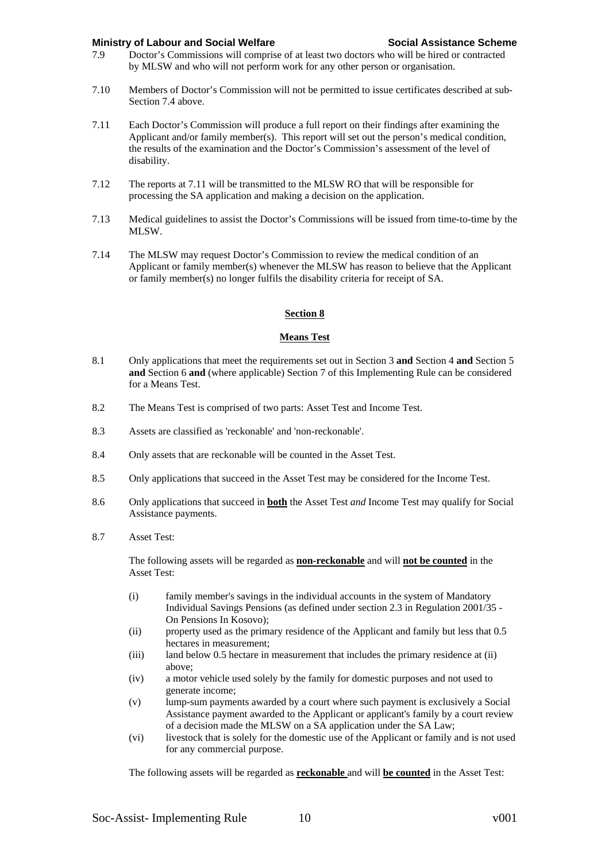- 7.9 Doctor's Commissions will comprise of at least two doctors who will be hired or contracted by MLSW and who will not perform work for any other person or organisation.
- 7.10 Members of Doctor's Commission will not be permitted to issue certificates described at sub-Section 7.4 above.
- 7.11 Each Doctor's Commission will produce a full report on their findings after examining the Applicant and/or family member(s). This report will set out the person's medical condition, the results of the examination and the Doctor's Commission's assessment of the level of disability.
- 7.12 The reports at 7.11 will be transmitted to the MLSW RO that will be responsible for processing the SA application and making a decision on the application.
- 7.13 Medical guidelines to assist the Doctor's Commissions will be issued from time-to-time by the MLSW.
- 7.14 The MLSW may request Doctor's Commission to review the medical condition of an Applicant or family member(s) whenever the MLSW has reason to believe that the Applicant or family member(s) no longer fulfils the disability criteria for receipt of SA.

#### **Section 8**

#### **Means Test**

- 8.1 Only applications that meet the requirements set out in Section 3 **and** Section 4 **and** Section 5 **and** Section 6 **and** (where applicable) Section 7 of this Implementing Rule can be considered for a Means Test.
- 8.2 The Means Test is comprised of two parts: Asset Test and Income Test.
- 8.3 Assets are classified as 'reckonable' and 'non-reckonable'.
- 8.4 Only assets that are reckonable will be counted in the Asset Test.
- 8.5 Only applications that succeed in the Asset Test may be considered for the Income Test.
- 8.6 Only applications that succeed in **both** the Asset Test *and* Income Test may qualify for Social Assistance payments.
- 8.7 Asset Test:

The following assets will be regarded as **non-reckonable** and will **not be counted** in the Asset Test:

- (i) family member's savings in the individual accounts in the system of Mandatory Individual Savings Pensions (as defined under section 2.3 in Regulation 2001/35 - On Pensions In Kosovo);
- (ii) property used as the primary residence of the Applicant and family but less that 0.5 hectares in measurement;
- (iii) land below 0.5 hectare in measurement that includes the primary residence at (ii) above;
- (iv) a motor vehicle used solely by the family for domestic purposes and not used to generate income;
- (v) lump-sum payments awarded by a court where such payment is exclusively a Social Assistance payment awarded to the Applicant or applicant's family by a court review of a decision made the MLSW on a SA application under the SA Law;
- (vi) livestock that is solely for the domestic use of the Applicant or family and is not used for any commercial purpose.

The following assets will be regarded as **reckonable** and will **be counted** in the Asset Test: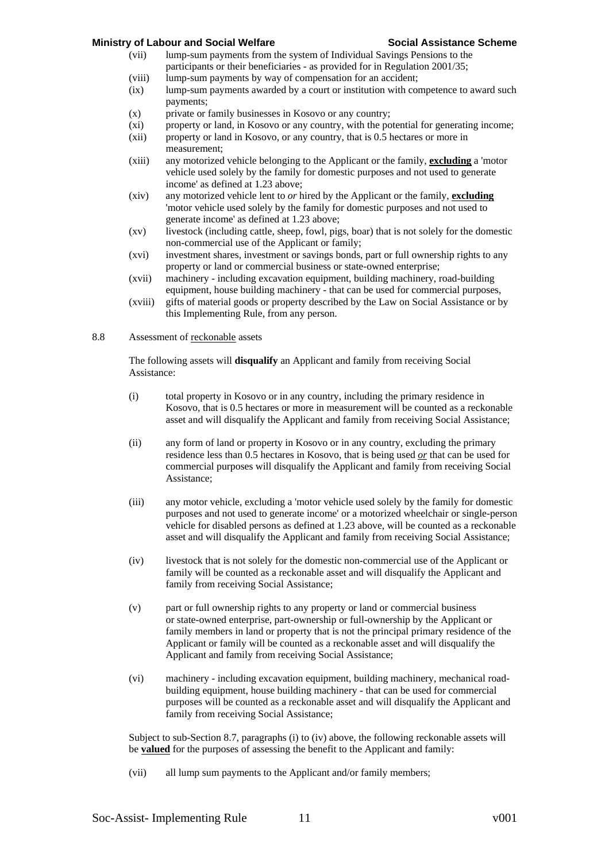- (vii) lump-sum payments from the system of Individual Savings Pensions to the participants or their beneficiaries - as provided for in Regulation 2001/35;
- (viii) lump-sum payments by way of compensation for an accident;
- (ix) lump-sum payments awarded by a court or institution with competence to award such payments;
- (x) private or family businesses in Kosovo or any country;
- (xi) property or land, in Kosovo or any country, with the potential for generating income;
- (xii) property or land in Kosovo, or any country, that is 0.5 hectares or more in measurement;
- (xiii) any motorized vehicle belonging to the Applicant or the family, **excluding** a 'motor vehicle used solely by the family for domestic purposes and not used to generate income' as defined at 1.23 above;
- (xiv) any motorized vehicle lent to *or* hired by the Applicant or the family, **excluding** 'motor vehicle used solely by the family for domestic purposes and not used to generate income' as defined at 1.23 above;
- (xv) livestock (including cattle, sheep, fowl, pigs, boar) that is not solely for the domestic non-commercial use of the Applicant or family;
- (xvi) investment shares, investment or savings bonds, part or full ownership rights to any property or land or commercial business or state-owned enterprise;
- (xvii) machinery including excavation equipment, building machinery, road-building equipment, house building machinery - that can be used for commercial purposes,
- (xviii) gifts of material goods or property described by the Law on Social Assistance or by this Implementing Rule, from any person.

## 8.8 Assessment of reckonable assets

The following assets will **disqualify** an Applicant and family from receiving Social Assistance:

- (i) total property in Kosovo or in any country, including the primary residence in Kosovo, that is 0.5 hectares or more in measurement will be counted as a reckonable asset and will disqualify the Applicant and family from receiving Social Assistance;
- (ii) any form of land or property in Kosovo or in any country, excluding the primary residence less than 0.5 hectares in Kosovo, that is being used *or* that can be used for commercial purposes will disqualify the Applicant and family from receiving Social Assistance;
- (iii) any motor vehicle, excluding a 'motor vehicle used solely by the family for domestic purposes and not used to generate income' or a motorized wheelchair or single-person vehicle for disabled persons as defined at 1.23 above, will be counted as a reckonable asset and will disqualify the Applicant and family from receiving Social Assistance;
- (iv) livestock that is not solely for the domestic non-commercial use of the Applicant or family will be counted as a reckonable asset and will disqualify the Applicant and family from receiving Social Assistance;
- (v) part or full ownership rights to any property or land or commercial business or state-owned enterprise, part-ownership or full-ownership by the Applicant or family members in land or property that is not the principal primary residence of the Applicant or family will be counted as a reckonable asset and will disqualify the Applicant and family from receiving Social Assistance;
- (vi) machinery including excavation equipment, building machinery, mechanical roadbuilding equipment, house building machinery - that can be used for commercial purposes will be counted as a reckonable asset and will disqualify the Applicant and family from receiving Social Assistance;

Subject to sub-Section 8.7, paragraphs (i) to (iv) above, the following reckonable assets will be **valued** for the purposes of assessing the benefit to the Applicant and family:

(vii) all lump sum payments to the Applicant and/or family members;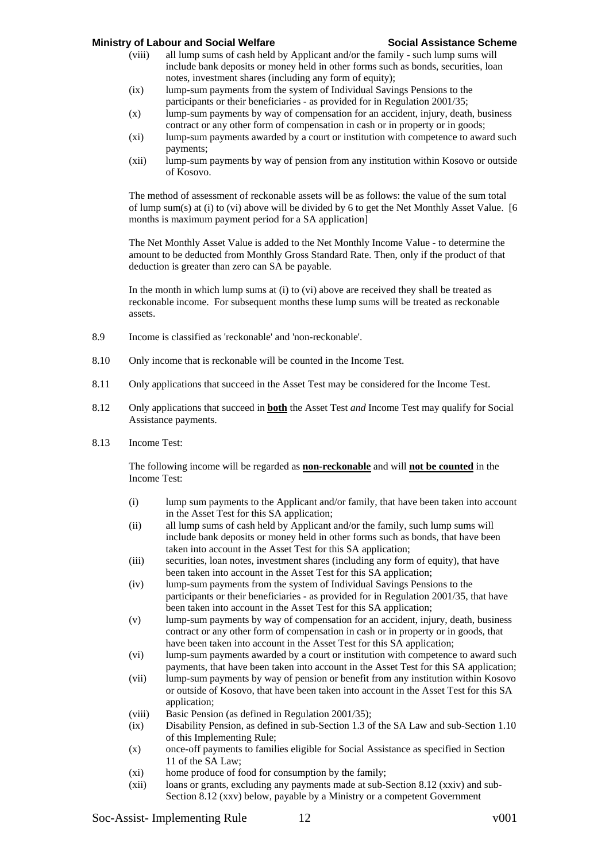- (viii) all lump sums of cash held by Applicant and/or the family such lump sums will include bank deposits or money held in other forms such as bonds, securities, loan notes, investment shares (including any form of equity);
- (ix) lump-sum payments from the system of Individual Savings Pensions to the participants or their beneficiaries - as provided for in Regulation 2001/35;
- (x) lump-sum payments by way of compensation for an accident, injury, death, business contract or any other form of compensation in cash or in property or in goods;
- (xi) lump-sum payments awarded by a court or institution with competence to award such payments;
- (xii) lump-sum payments by way of pension from any institution within Kosovo or outside of Kosovo.

The method of assessment of reckonable assets will be as follows: the value of the sum total of lump sum(s) at (i) to (vi) above will be divided by 6 to get the Net Monthly Asset Value. [6 months is maximum payment period for a SA application]

The Net Monthly Asset Value is added to the Net Monthly Income Value - to determine the amount to be deducted from Monthly Gross Standard Rate. Then, only if the product of that deduction is greater than zero can SA be payable.

In the month in which lump sums at (i) to (vi) above are received they shall be treated as reckonable income. For subsequent months these lump sums will be treated as reckonable assets.

- 8.9 Income is classified as 'reckonable' and 'non-reckonable'.
- 8.10 Only income that is reckonable will be counted in the Income Test.
- 8.11 Only applications that succeed in the Asset Test may be considered for the Income Test.
- 8.12 Only applications that succeed in **both** the Asset Test *and* Income Test may qualify for Social Assistance payments.
- 8.13 Income Test:

The following income will be regarded as **non-reckonable** and will **not be counted** in the Income Test:

- (i) lump sum payments to the Applicant and/or family, that have been taken into account in the Asset Test for this SA application;
- (ii) all lump sums of cash held by Applicant and/or the family, such lump sums will include bank deposits or money held in other forms such as bonds, that have been taken into account in the Asset Test for this SA application;
- (iii) securities, loan notes, investment shares (including any form of equity), that have been taken into account in the Asset Test for this SA application;
- (iv) lump-sum payments from the system of Individual Savings Pensions to the participants or their beneficiaries - as provided for in Regulation 2001/35, that have been taken into account in the Asset Test for this SA application;
- (v) lump-sum payments by way of compensation for an accident, injury, death, business contract or any other form of compensation in cash or in property or in goods, that have been taken into account in the Asset Test for this SA application;
- (vi) lump-sum payments awarded by a court or institution with competence to award such payments, that have been taken into account in the Asset Test for this SA application;
- (vii) lump-sum payments by way of pension or benefit from any institution within Kosovo or outside of Kosovo, that have been taken into account in the Asset Test for this SA application;
- (viii) Basic Pension (as defined in Regulation 2001/35);
- (ix) Disability Pension, as defined in sub-Section 1.3 of the SA Law and sub-Section 1.10 of this Implementing Rule;
- (x) once-off payments to families eligible for Social Assistance as specified in Section 11 of the SA Law;
- (xi) home produce of food for consumption by the family;
- (xii) loans or grants, excluding any payments made at sub-Section 8.12 (xxiv) and sub-Section 8.12 (xxv) below, payable by a Ministry or a competent Government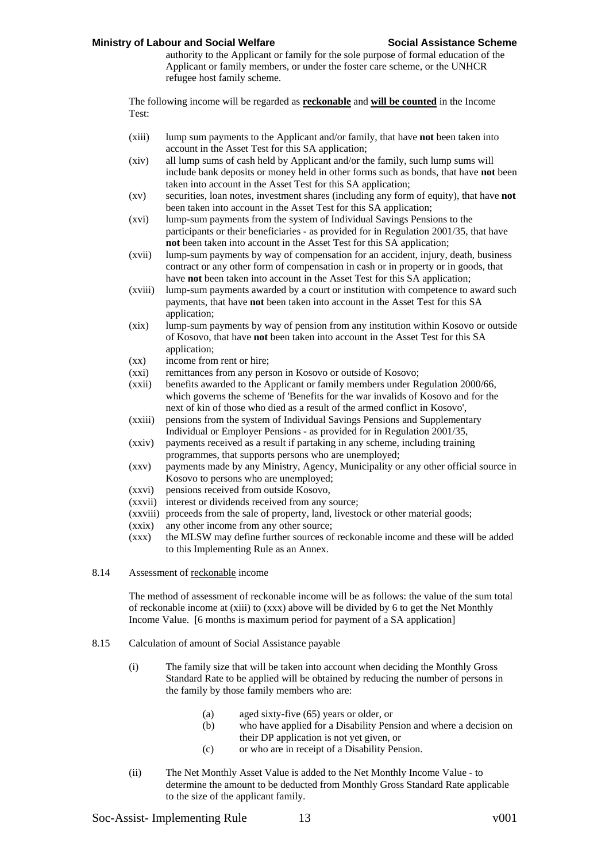authority to the Applicant or family for the sole purpose of formal education of the Applicant or family members, or under the foster care scheme, or the UNHCR refugee host family scheme.

The following income will be regarded as **reckonable** and **will be counted** in the Income Test:

- (xiii) lump sum payments to the Applicant and/or family, that have **not** been taken into account in the Asset Test for this SA application;
- (xiv) all lump sums of cash held by Applicant and/or the family, such lump sums will include bank deposits or money held in other forms such as bonds, that have **not** been taken into account in the Asset Test for this SA application;
- (xv) securities, loan notes, investment shares (including any form of equity), that have **not** been taken into account in the Asset Test for this SA application;
- (xvi) lump-sum payments from the system of Individual Savings Pensions to the participants or their beneficiaries - as provided for in Regulation 2001/35, that have **not** been taken into account in the Asset Test for this SA application;
- (xvii) lump-sum payments by way of compensation for an accident, injury, death, business contract or any other form of compensation in cash or in property or in goods, that have **not** been taken into account in the Asset Test for this SA application;
- (xviii) lump-sum payments awarded by a court or institution with competence to award such payments, that have **not** been taken into account in the Asset Test for this SA application;
- (xix) lump-sum payments by way of pension from any institution within Kosovo or outside of Kosovo, that have **not** been taken into account in the Asset Test for this SA application;
- (xx) income from rent or hire;
- (xxi) remittances from any person in Kosovo or outside of Kosovo;
- (xxii) benefits awarded to the Applicant or family members under Regulation 2000/66, which governs the scheme of 'Benefits for the war invalids of Kosovo and for the next of kin of those who died as a result of the armed conflict in Kosovo',
- (xxiii) pensions from the system of Individual Savings Pensions and Supplementary Individual or Employer Pensions - as provided for in Regulation 2001/35,
- (xxiv) payments received as a result if partaking in any scheme, including training programmes, that supports persons who are unemployed;
- (xxv) payments made by any Ministry, Agency, Municipality or any other official source in Kosovo to persons who are unemployed;
- (xxvi) pensions received from outside Kosovo,
- (xxvii) interest or dividends received from any source;
- (xxviii) proceeds from the sale of property, land, livestock or other material goods;
- (xxix) any other income from any other source;
- (xxx) the MLSW may define further sources of reckonable income and these will be added to this Implementing Rule as an Annex.
- 8.14 Assessment of reckonable income

The method of assessment of reckonable income will be as follows: the value of the sum total of reckonable income at (xiii) to (xxx) above will be divided by 6 to get the Net Monthly Income Value. [6 months is maximum period for payment of a SA application]

- 8.15 Calculation of amount of Social Assistance payable
	- (i) The family size that will be taken into account when deciding the Monthly Gross Standard Rate to be applied will be obtained by reducing the number of persons in the family by those family members who are:
		- (a) aged sixty-five (65) years or older, or
		- (b) who have applied for a Disability Pension and where a decision on their DP application is not yet given, or
		- (c) or who are in receipt of a Disability Pension.
	- (ii) The Net Monthly Asset Value is added to the Net Monthly Income Value to determine the amount to be deducted from Monthly Gross Standard Rate applicable to the size of the applicant family.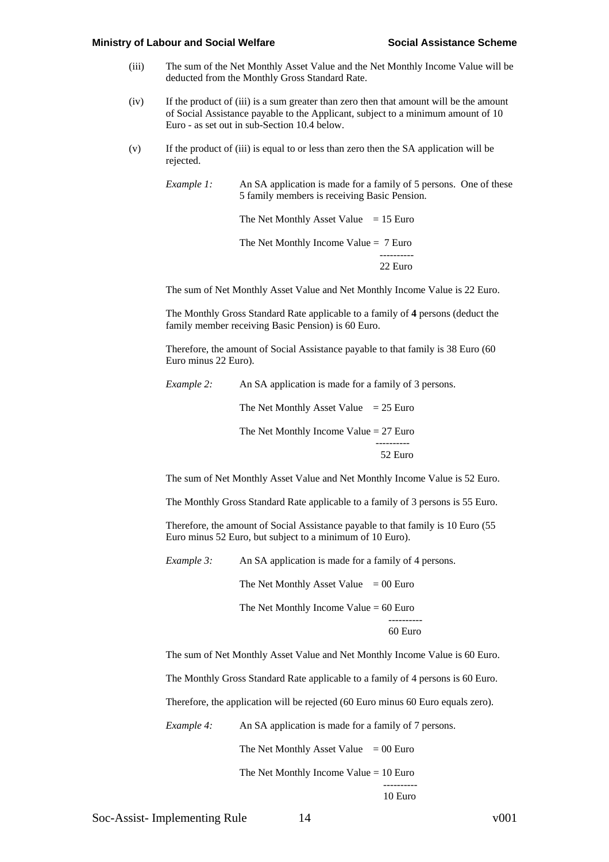- (iii) The sum of the Net Monthly Asset Value and the Net Monthly Income Value will be deducted from the Monthly Gross Standard Rate.
- (iv) If the product of (iii) is a sum greater than zero then that amount will be the amount of Social Assistance payable to the Applicant, subject to a minimum amount of 10 Euro - as set out in sub-Section 10.4 below.
- (v) If the product of (iii) is equal to or less than zero then the SA application will be rejected.

*Example 1:* An SA application is made for a family of 5 persons. One of these 5 family members is receiving Basic Pension.

The Net Monthly Asset Value  $= 15$  Euro The Net Monthly Income Value = 7 Euro ----------

The sum of Net Monthly Asset Value and Net Monthly Income Value is 22 Euro.

22 Euro

The Monthly Gross Standard Rate applicable to a family of **4** persons (deduct the family member receiving Basic Pension) is 60 Euro.

Therefore, the amount of Social Assistance payable to that family is 38 Euro (60 Euro minus 22 Euro).

*Example 2:* An SA application is made for a family of 3 persons.

The Net Monthly Asset Value  $= 25$  Euro

The Net Monthly Income Value  $= 27$  Euro ---------- 52 Euro

The sum of Net Monthly Asset Value and Net Monthly Income Value is 52 Euro.

The Monthly Gross Standard Rate applicable to a family of 3 persons is 55 Euro.

Therefore, the amount of Social Assistance payable to that family is 10 Euro (55 Euro minus 52 Euro, but subject to a minimum of 10 Euro).

*Example 3:* An SA application is made for a family of 4 persons.

The Net Monthly Asset Value  $= 00$  Euro

The Net Monthly Income Value = 60 Euro ---------- 60 Euro

The sum of Net Monthly Asset Value and Net Monthly Income Value is 60 Euro.

The Monthly Gross Standard Rate applicable to a family of 4 persons is 60 Euro.

Therefore, the application will be rejected (60 Euro minus 60 Euro equals zero).

*Example 4:* An SA application is made for a family of 7 persons.

The Net Monthly Asset Value  $= 00$  Euro

The Net Monthly Income Value  $= 10$  Euro

----------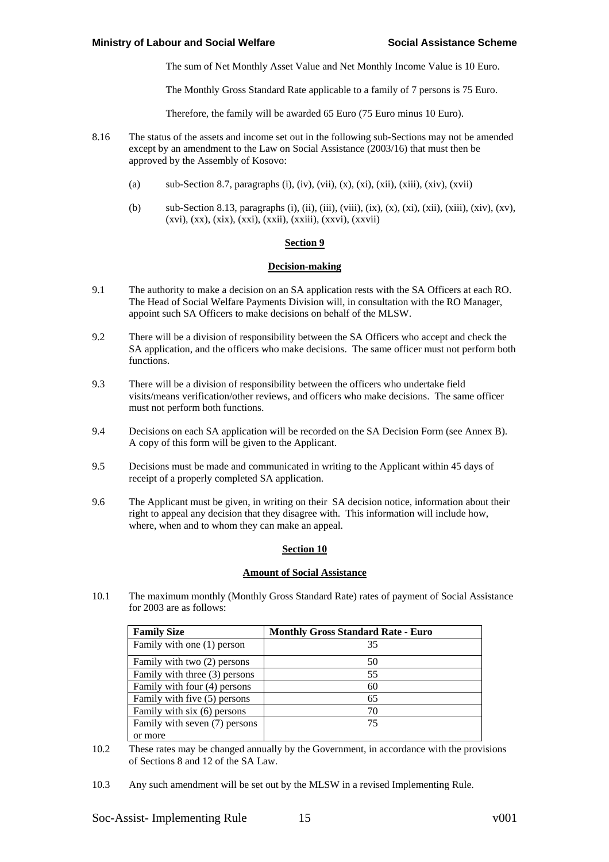The sum of Net Monthly Asset Value and Net Monthly Income Value is 10 Euro.

The Monthly Gross Standard Rate applicable to a family of 7 persons is 75 Euro.

Therefore, the family will be awarded 65 Euro (75 Euro minus 10 Euro).

- 8.16 The status of the assets and income set out in the following sub-Sections may not be amended except by an amendment to the Law on Social Assistance (2003/16) that must then be approved by the Assembly of Kosovo:
	- (a) sub-Section 8.7, paragraphs (i), (iv), (vii), (x), (xi), (xii), (xiii), (xiv), (xvii)
	- (b) sub-Section 8.13, paragraphs (i), (ii), (iii), (viii), (ix), (x), (xi), (xii), (xiii), (xiv), (xv), (xvi), (xx), (xix), (xxi), (xxii), (xxiii), (xxvi), (xxvii)

## **Section 9**

### **Decision-making**

- 9.1 The authority to make a decision on an SA application rests with the SA Officers at each RO. The Head of Social Welfare Payments Division will, in consultation with the RO Manager, appoint such SA Officers to make decisions on behalf of the MLSW.
- 9.2 There will be a division of responsibility between the SA Officers who accept and check the SA application, and the officers who make decisions. The same officer must not perform both functions.
- 9.3 There will be a division of responsibility between the officers who undertake field visits/means verification/other reviews, and officers who make decisions. The same officer must not perform both functions.
- 9.4 Decisions on each SA application will be recorded on the SA Decision Form (see Annex B). A copy of this form will be given to the Applicant.
- 9.5 Decisions must be made and communicated in writing to the Applicant within 45 days of receipt of a properly completed SA application.
- 9.6 The Applicant must be given, in writing on their SA decision notice, information about their right to appeal any decision that they disagree with. This information will include how, where, when and to whom they can make an appeal.

## **Section 10**

## **Amount of Social Assistance**

10.1 The maximum monthly (Monthly Gross Standard Rate) rates of payment of Social Assistance for 2003 are as follows:

| <b>Family Size</b>            | <b>Monthly Gross Standard Rate - Euro</b> |
|-------------------------------|-------------------------------------------|
| Family with one (1) person    | 35                                        |
| Family with two (2) persons   | 50                                        |
| Family with three (3) persons | 55                                        |
| Family with four (4) persons  | 60                                        |
| Family with five (5) persons  | 65                                        |
| Family with six (6) persons   | 70                                        |
| Family with seven (7) persons | 75                                        |
| or more                       |                                           |

10.2 These rates may be changed annually by the Government, in accordance with the provisions of Sections 8 and 12 of the SA Law.

10.3 Any such amendment will be set out by the MLSW in a revised Implementing Rule.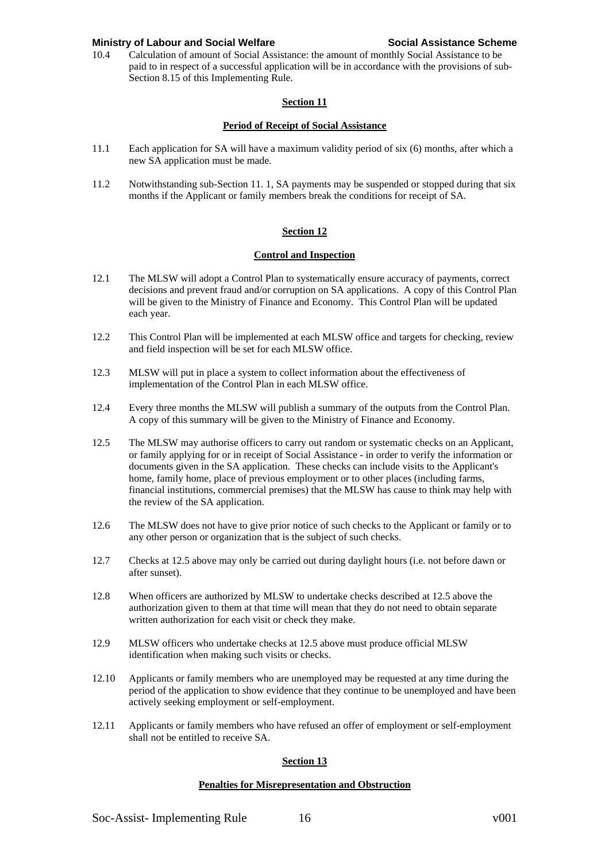10.4 Calculation of amount of Social Assistance: the amount of monthly Social Assistance to be paid to in respect of a successful application will be in accordance with the provisions of sub-Section 8.15 of this Implementing Rule.

# **Section 11**

# **Period of Receipt of Social Assistance**

- 11.1 Each application for SA will have a maximum validity period of six (6) months, after which a new SA application must be made.
- 11.2 Notwithstanding sub-Section 11. 1, SA payments may be suspended or stopped during that six months if the Applicant or family members break the conditions for receipt of SA.

# **Section 12**

# **Control and Inspection**

- 12.1 The MLSW will adopt a Control Plan to systematically ensure accuracy of payments, correct decisions and prevent fraud and/or corruption on SA applications. A copy of this Control Plan will be given to the Ministry of Finance and Economy. This Control Plan will be updated each year.
- 12.2 This Control Plan will be implemented at each MLSW office and targets for checking, review and field inspection will be set for each MLSW office.
- 12.3 MLSW will put in place a system to collect information about the effectiveness of implementation of the Control Plan in each MLSW office.
- 12.4 Every three months the MLSW will publish a summary of the outputs from the Control Plan. A copy of this summary will be given to the Ministry of Finance and Economy.
- 12.5 The MLSW may authorise officers to carry out random or systematic checks on an Applicant, or family applying for or in receipt of Social Assistance - in order to verify the information or documents given in the SA application. These checks can include visits to the Applicant's home, family home, place of previous employment or to other places (including farms, financial institutions, commercial premises) that the MLSW has cause to think may help with the review of the SA application.
- 12.6 The MLSW does not have to give prior notice of such checks to the Applicant or family or to any other person or organization that is the subject of such checks.
- 12.7 Checks at 12.5 above may only be carried out during daylight hours (i.e. not before dawn or after sunset).
- 12.8 When officers are authorized by MLSW to undertake checks described at 12.5 above the authorization given to them at that time will mean that they do not need to obtain separate written authorization for each visit or check they make.
- 12.9 MLSW officers who undertake checks at 12.5 above must produce official MLSW identification when making such visits or checks.
- 12.10 Applicants or family members who are unemployed may be requested at any time during the period of the application to show evidence that they continue to be unemployed and have been actively seeking employment or self-employment.
- 12.11 Applicants or family members who have refused an offer of employment or self-employment shall not be entitled to receive SA.

# **Section 13**

## **Penalties for Misrepresentation and Obstruction**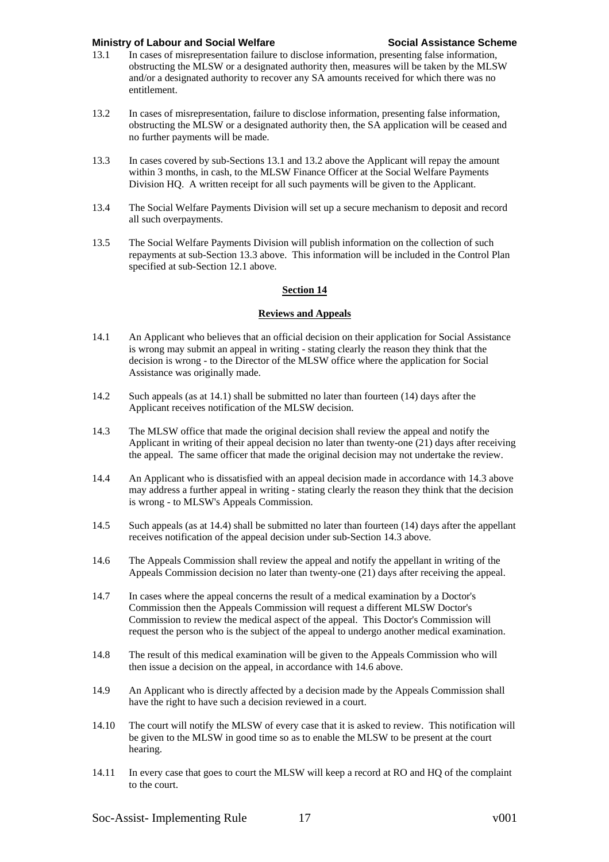- 13.1 In cases of misrepresentation failure to disclose information, presenting false information, obstructing the MLSW or a designated authority then, measures will be taken by the MLSW and/or a designated authority to recover any SA amounts received for which there was no entitlement.
- 13.2 In cases of misrepresentation, failure to disclose information, presenting false information, obstructing the MLSW or a designated authority then, the SA application will be ceased and no further payments will be made.
- 13.3 In cases covered by sub-Sections 13.1 and 13.2 above the Applicant will repay the amount within 3 months, in cash, to the MLSW Finance Officer at the Social Welfare Payments Division HQ. A written receipt for all such payments will be given to the Applicant.
- 13.4 The Social Welfare Payments Division will set up a secure mechanism to deposit and record all such overpayments.
- 13.5 The Social Welfare Payments Division will publish information on the collection of such repayments at sub-Section 13.3 above. This information will be included in the Control Plan specified at sub-Section 12.1 above.

# **Section 14**

# **Reviews and Appeals**

- 14.1 An Applicant who believes that an official decision on their application for Social Assistance is wrong may submit an appeal in writing - stating clearly the reason they think that the decision is wrong - to the Director of the MLSW office where the application for Social Assistance was originally made.
- 14.2 Such appeals (as at 14.1) shall be submitted no later than fourteen (14) days after the Applicant receives notification of the MLSW decision.
- 14.3 The MLSW office that made the original decision shall review the appeal and notify the Applicant in writing of their appeal decision no later than twenty-one (21) days after receiving the appeal. The same officer that made the original decision may not undertake the review.
- 14.4 An Applicant who is dissatisfied with an appeal decision made in accordance with 14.3 above may address a further appeal in writing - stating clearly the reason they think that the decision is wrong - to MLSW's Appeals Commission.
- 14.5 Such appeals (as at 14.4) shall be submitted no later than fourteen (14) days after the appellant receives notification of the appeal decision under sub-Section 14.3 above.
- 14.6 The Appeals Commission shall review the appeal and notify the appellant in writing of the Appeals Commission decision no later than twenty-one (21) days after receiving the appeal.
- 14.7 In cases where the appeal concerns the result of a medical examination by a Doctor's Commission then the Appeals Commission will request a different MLSW Doctor's Commission to review the medical aspect of the appeal. This Doctor's Commission will request the person who is the subject of the appeal to undergo another medical examination.
- 14.8 The result of this medical examination will be given to the Appeals Commission who will then issue a decision on the appeal, in accordance with 14.6 above.
- 14.9 An Applicant who is directly affected by a decision made by the Appeals Commission shall have the right to have such a decision reviewed in a court.
- 14.10 The court will notify the MLSW of every case that it is asked to review. This notification will be given to the MLSW in good time so as to enable the MLSW to be present at the court hearing.
- 14.11 In every case that goes to court the MLSW will keep a record at RO and HQ of the complaint to the court.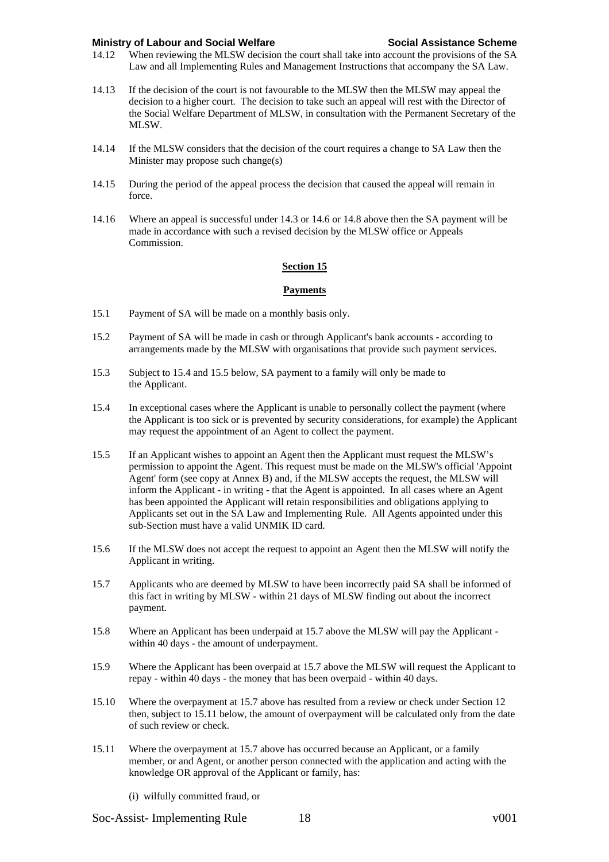- 14.12 When reviewing the MLSW decision the court shall take into account the provisions of the SA Law and all Implementing Rules and Management Instructions that accompany the SA Law.
- 14.13 If the decision of the court is not favourable to the MLSW then the MLSW may appeal the decision to a higher court. The decision to take such an appeal will rest with the Director of the Social Welfare Department of MLSW, in consultation with the Permanent Secretary of the MLSW.
- 14.14 If the MLSW considers that the decision of the court requires a change to SA Law then the Minister may propose such change(s)
- 14.15 During the period of the appeal process the decision that caused the appeal will remain in force.
- 14.16 Where an appeal is successful under 14.3 or 14.6 or 14.8 above then the SA payment will be made in accordance with such a revised decision by the MLSW office or Appeals Commission.

## **Section 15**

### **Payments**

- 15.1 Payment of SA will be made on a monthly basis only.
- 15.2 Payment of SA will be made in cash or through Applicant's bank accounts according to arrangements made by the MLSW with organisations that provide such payment services.
- 15.3 Subject to 15.4 and 15.5 below, SA payment to a family will only be made to the Applicant.
- 15.4 In exceptional cases where the Applicant is unable to personally collect the payment (where the Applicant is too sick or is prevented by security considerations, for example) the Applicant may request the appointment of an Agent to collect the payment.
- 15.5 If an Applicant wishes to appoint an Agent then the Applicant must request the MLSW's permission to appoint the Agent. This request must be made on the MLSW's official 'Appoint Agent' form (see copy at Annex B) and, if the MLSW accepts the request, the MLSW will inform the Applicant - in writing - that the Agent is appointed. In all cases where an Agent has been appointed the Applicant will retain responsibilities and obligations applying to Applicants set out in the SA Law and Implementing Rule. All Agents appointed under this sub-Section must have a valid UNMIK ID card.
- 15.6 If the MLSW does not accept the request to appoint an Agent then the MLSW will notify the Applicant in writing.
- 15.7 Applicants who are deemed by MLSW to have been incorrectly paid SA shall be informed of this fact in writing by MLSW - within 21 days of MLSW finding out about the incorrect payment.
- 15.8 Where an Applicant has been underpaid at 15.7 above the MLSW will pay the Applicant within 40 days - the amount of underpayment.
- 15.9 Where the Applicant has been overpaid at 15.7 above the MLSW will request the Applicant to repay - within 40 days - the money that has been overpaid - within 40 days.
- 15.10 Where the overpayment at 15.7 above has resulted from a review or check under Section 12 then, subject to 15.11 below, the amount of overpayment will be calculated only from the date of such review or check.
- 15.11 Where the overpayment at 15.7 above has occurred because an Applicant, or a family member, or and Agent, or another person connected with the application and acting with the knowledge OR approval of the Applicant or family, has:
	- (i) wilfully committed fraud, or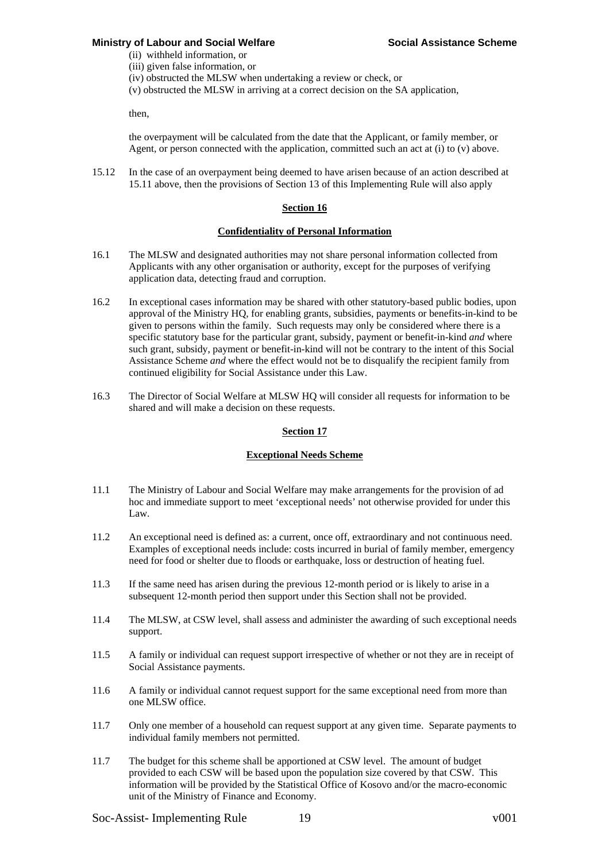(ii) withheld information, or (iii) given false information, or

(iv) obstructed the MLSW when undertaking a review or check, or

(v) obstructed the MLSW in arriving at a correct decision on the SA application,

then,

the overpayment will be calculated from the date that the Applicant, or family member, or Agent, or person connected with the application, committed such an act at (i) to (v) above.

15.12 In the case of an overpayment being deemed to have arisen because of an action described at 15.11 above, then the provisions of Section 13 of this Implementing Rule will also apply

## **Section 16**

### **Confidentiality of Personal Information**

- 16.1 The MLSW and designated authorities may not share personal information collected from Applicants with any other organisation or authority, except for the purposes of verifying application data, detecting fraud and corruption.
- 16.2 In exceptional cases information may be shared with other statutory-based public bodies, upon approval of the Ministry HQ, for enabling grants, subsidies, payments or benefits-in-kind to be given to persons within the family. Such requests may only be considered where there is a specific statutory base for the particular grant, subsidy, payment or benefit-in-kind *and* where such grant, subsidy, payment or benefit-in-kind will not be contrary to the intent of this Social Assistance Scheme *and* where the effect would not be to disqualify the recipient family from continued eligibility for Social Assistance under this Law.
- 16.3 The Director of Social Welfare at MLSW HQ will consider all requests for information to be shared and will make a decision on these requests.

#### **Section 17**

## **Exceptional Needs Scheme**

- 11.1 The Ministry of Labour and Social Welfare may make arrangements for the provision of ad hoc and immediate support to meet 'exceptional needs' not otherwise provided for under this Law.
- 11.2 An exceptional need is defined as: a current, once off, extraordinary and not continuous need. Examples of exceptional needs include: costs incurred in burial of family member, emergency need for food or shelter due to floods or earthquake, loss or destruction of heating fuel.
- 11.3 If the same need has arisen during the previous 12-month period or is likely to arise in a subsequent 12-month period then support under this Section shall not be provided.
- 11.4 The MLSW, at CSW level, shall assess and administer the awarding of such exceptional needs support.
- 11.5 A family or individual can request support irrespective of whether or not they are in receipt of Social Assistance payments.
- 11.6 A family or individual cannot request support for the same exceptional need from more than one MLSW office.
- 11.7 Only one member of a household can request support at any given time. Separate payments to individual family members not permitted.
- 11.7 The budget for this scheme shall be apportioned at CSW level. The amount of budget provided to each CSW will be based upon the population size covered by that CSW. This information will be provided by the Statistical Office of Kosovo and/or the macro-economic unit of the Ministry of Finance and Economy.